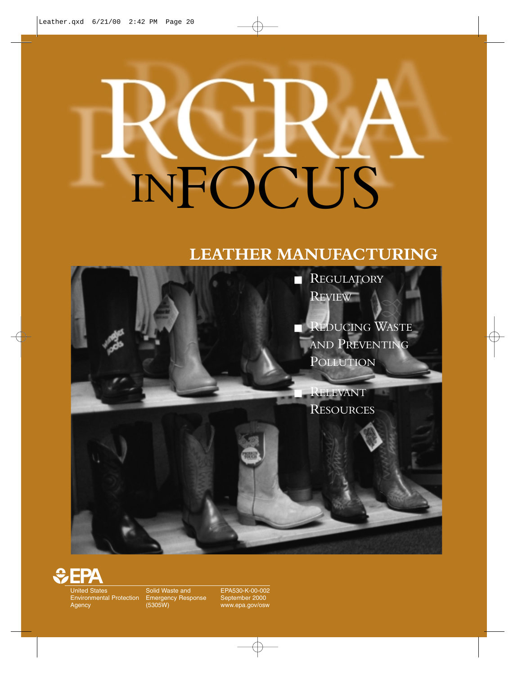# INFOCUS

### **LEATHER MANUFACTURING**





United States Environmental Protection Agency

Solid Waste and Emergency Response (5305W)

EPA530-K-00-002 September 2000 www.epa.gov/osw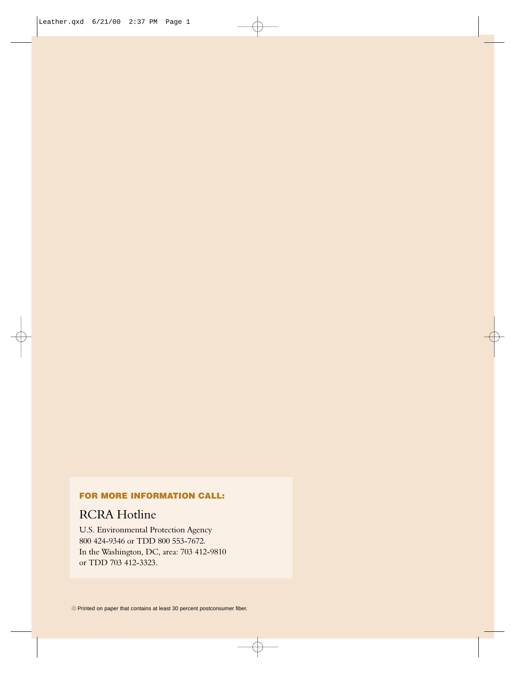### **FOR MORE INFORMATION CALL:**

### RCRA Hotline

U.S. Environmental Protection Agency 800 424-9346 or TDD 800 553-7672. In the Washington, DC, area: 703 412-9810 or TDD 703 412-3323.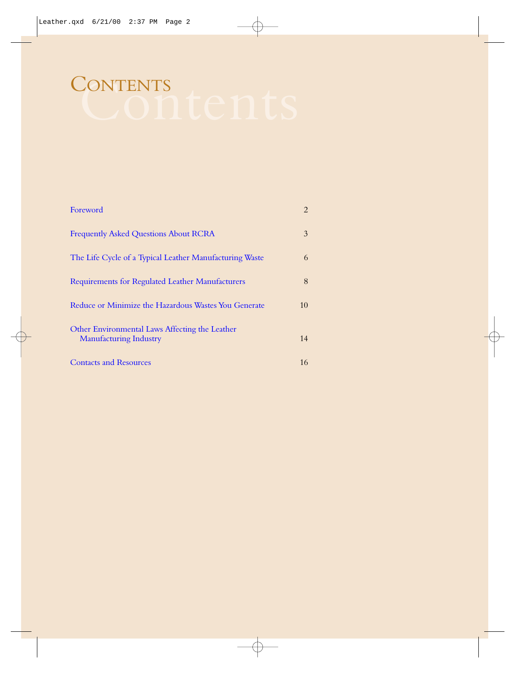### CONTENTS

| Foreword                                                                        | $\overline{2}$ |
|---------------------------------------------------------------------------------|----------------|
| <b>Frequently Asked Questions About RCRA</b>                                    | 3              |
| The Life Cycle of a Typical Leather Manufacturing Waste                         | 6              |
| Requirements for Regulated Leather Manufacturers                                | 8              |
| Reduce or Minimize the Hazardous Wastes You Generate                            | 10             |
| Other Environmental Laws Affecting the Leather<br><b>Manufacturing Industry</b> | 14             |
| <b>Contacts and Resources</b>                                                   | 16             |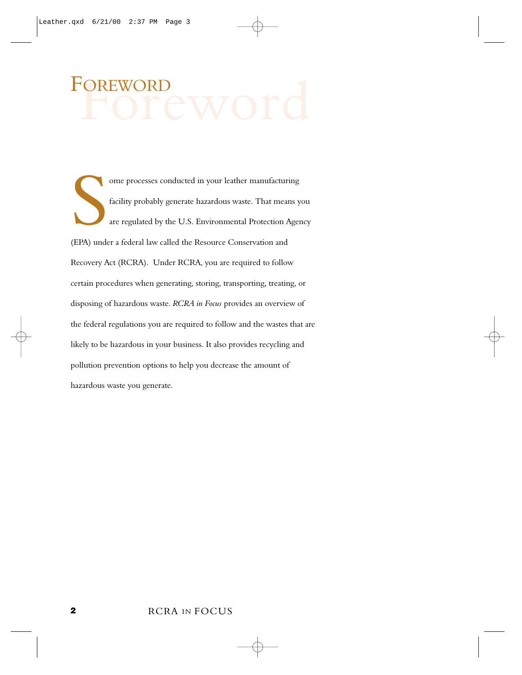### <span id="page-3-0"></span>FOREWORD

S<br>EPA) unde ome processes conducted in your leather manufacturing facility probably generate hazardous waste. That means you are regulated by the U.S. Environmental Protection Agency (EPA) under a federal law called the Resource Conservation and Recovery Act (RCRA). Under RCRA, you are required to follow certain procedures when generating, storing, transporting, treating, or disposing of hazardous waste. *RCRA in Focus* provides an overview of the federal regulations you are required to follow and the wastes that are likely to be hazardous in your business. It also provides recycling and pollution prevention options to help you decrease the amount of hazardous waste you generate.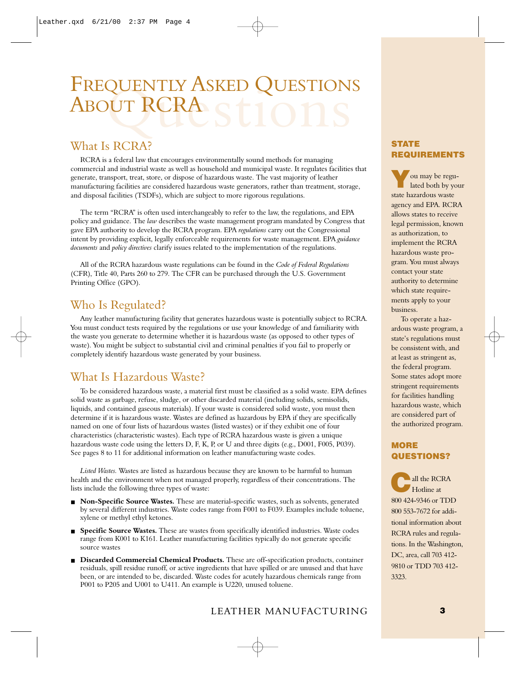### <span id="page-4-0"></span>FREQUENTLY ASKED QUESTIONS ABOUT RCRA

### What Is RCRA?

RCRA is a federal law that encourages environmentally sound methods for managing commercial and industrial waste as well as household and municipal waste. It regulates facilities that generate, transport, treat, store, or dispose of hazardous waste. The vast majority of leather manufacturing facilities are considered hazardous waste generators, rather than treatment, storage, and disposal facilities (TSDFs), which are subject to more rigorous regulations.

The term "RCRA" is often used interchangeably to refer to the law, the regulations, and EPA policy and guidance. The *law* describes the waste management program mandated by Congress that gave EPA authority to develop the RCRA program. EPA *regulations* carry out the Congressional intent by providing explicit, legally enforceable requirements for waste management. EPA *guidance documents* and *policy directives* clarify issues related to the implementation of the regulations.

All of the RCRA hazardous waste regulations can be found in the *Code of Federal Regulations* (CFR), Title 40, Parts 260 to 279. The CFR can be purchased through the U.S. Government Printing Office (GPO).

### Who Is Regulated?

Any leather manufacturing facility that generates hazardous waste is potentially subject to RCRA. You must conduct tests required by the regulations or use your knowledge of and familiarity with the waste you generate to determine whether it is hazardous waste (as opposed to other types of waste). You might be subject to substantial civil and criminal penalties if you fail to properly or completely identify hazardous waste generated by your business.

### What Is Hazardous Waste?

To be considered hazardous waste, a material first must be classified as a solid waste. EPA defines solid waste as garbage, refuse, sludge, or other discarded material (including solids, semisolids, liquids, and contained gaseous materials). If your waste is considered solid waste, you must then determine if it is hazardous waste. Wastes are defined as hazardous by EPA if they are specifically named on one of four lists of hazardous wastes (listed wastes) or if they exhibit one of four characteristics (characteristic wastes). Each type of RCRA hazardous waste is given a unique hazardous waste code using the letters D, F, K, P, or U and three digits (e.g., D001, F005, P039). See pages 8 to 11 for additional information on leather manufacturing waste codes.

*Listed Wastes.* Wastes are listed as hazardous because they are known to be harmful to human health and the environment when not managed properly, regardless of their concentrations. The lists include the following three types of waste:

- **Non-Specific Source Wastes.** These are material-specific wastes, such as solvents, generated by several different industries. Waste codes range from F001 to F039. Examples include toluene, xylene or methyl ethyl ketones.
- **Specific Source Wastes.** These are wastes from specifically identified industries. Waste codes range from K001 to K161. Leather manufacturing facilities typically do not generate specific source wastes
- **Discarded Commercial Chemical Products.** These are off-specification products, container residuals, spill residue runoff, or active ingredients that have spilled or are unused and that have been, or are intended to be, discarded. Waste codes for acutely hazardous chemicals range from P001 to P205 and U001 to U411. An example is U220, unused toluene.

### **STATE REQUIREMENTS**

**Y**ou may be regu-lated both by your state hazardous waste agency and EPA. RCRA allows states to receive legal permission, known as authorization, to implement the RCRA hazardous waste program. You must always contact your state authority to determine which state requirements apply to your business.

To operate a hazardous waste program, a state's regulations must be consistent with, and at least as stringent as, the federal program. Some states adopt more stringent requirements for facilities handling hazardous waste, which are considered part of the authorized program.

### **MORE QUESTIONS?**

**A** all the RCRA Hotline at 800 424-9346 or TDD 800 553-7672 for additional information about RCRA rules and regulations. In the Washington, DC, area, call 703 412- 9810 or TDD 703 412- 3323.

### LEATHER MANUFACTURING **3**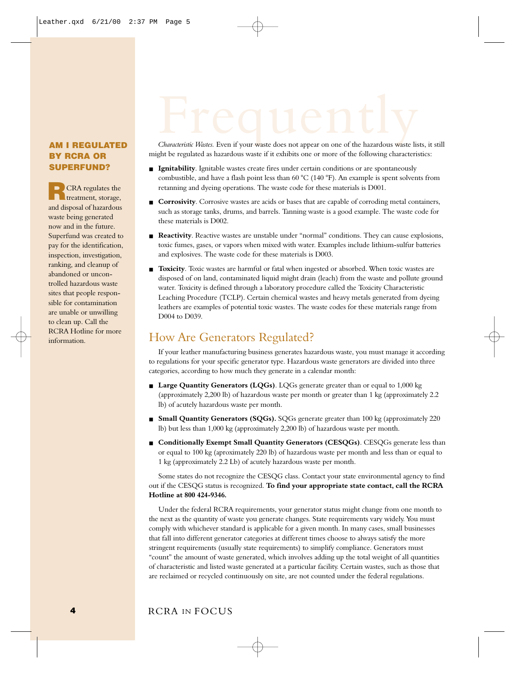### *Characteristic Wastes.* Even if your waste does not appear on one of the hazardous waste lists, it still

### **AM I REGULATED BY RCRA OR SUPERFUND?**

**R**CRA regulates the treatment, storage, and disposal of hazardous waste being generated now and in the future. Superfund was created to pay for the identification, inspection, investigation, ranking, and cleanup of abandoned or uncontrolled hazardous waste sites that people responsible for contamination are unable or unwilling to clean up. Call the RCRA Hotline for more information.

might be regulated as hazardous waste if it exhibits one or more of the following characteristics:

- **Example 1** Ignitability. Ignitable wastes create fires under certain conditions or are spontaneously combustible, and have a flash point less than 60  $^{\circ}$ C (140  $^{\circ}$ F). An example is spent solvents from retanning and dyeing operations. The waste code for these materials is D001.
- **Corrosivity**. Corrosive wastes are acids or bases that are capable of corroding metal containers, such as storage tanks, drums, and barrels. Tanning waste is a good example. The waste code for these materials is D002.
- **Reactivity**. Reactive wastes are unstable under "normal" conditions. They can cause explosions, toxic fumes, gases, or vapors when mixed with water. Examples include lithium-sulfur batteries and explosives. The waste code for these materials is D003.
- **Toxicity**. Toxic wastes are harmful or fatal when ingested or absorbed. When toxic wastes are disposed of on land, contaminated liquid might drain (leach) from the waste and pollute ground water. Toxicity is defined through a laboratory procedure called the Toxicity Characteristic Leaching Procedure (TCLP). Certain chemical wastes and heavy metals generated from dyeing leathers are examples of potential toxic wastes. The waste codes for these materials range from D004 to D039.

### How Are Generators Regulated?

If your leather manufacturing business generates hazardous waste, you must manage it according to regulations for your specific generator type. Hazardous waste generators are divided into three categories, according to how much they generate in a calendar month:

- **Large Quantity Generators (LQGs)**. LQGs generate greater than or equal to 1,000 kg (approximately 2,200 lb) of hazardous waste per month or greater than 1 kg (approximately 2.2 lb) of acutely hazardous waste per month.
- **Small Quantity Generators (SQGs).** SQGs generate greater than 100 kg (approximately 220 lb) but less than 1,000 kg (approximately 2,200 lb) of hazardous waste per month.
- **Conditionally Exempt Small Quantity Generators (CESQGs)**. CESQGs generate less than or equal to 100 kg (aproximately 220 lb) of hazardous waste per month and less than or equal to 1 kg (approximately 2.2 Lb) of acutely hazardous waste per month.

Some states do not recognize the CESQG class. Contact your state environmental agency to find out if the CESQG status is recognized. **To find your appropriate state contact, call the RCRA Hotline at 800 424-9346.**

Under the federal RCRA requirements, your generator status might change from one month to the next as the quantity of waste you generate changes. State requirements vary widely. You must comply with whichever standard is applicable for a given month. In many cases, small businesses that fall into different generator categories at different times choose to always satisfy the more stringent requirements (usually state requirements) to simplify compliance. Generators must "count" the amount of waste generated, which involves adding up the total weight of all quantities of characteristic and listed waste generated at a particular facility. Certain wastes, such as those that are reclaimed or recycled continuously on site, are not counted under the federal regulations.

### RCRA IN FOCUS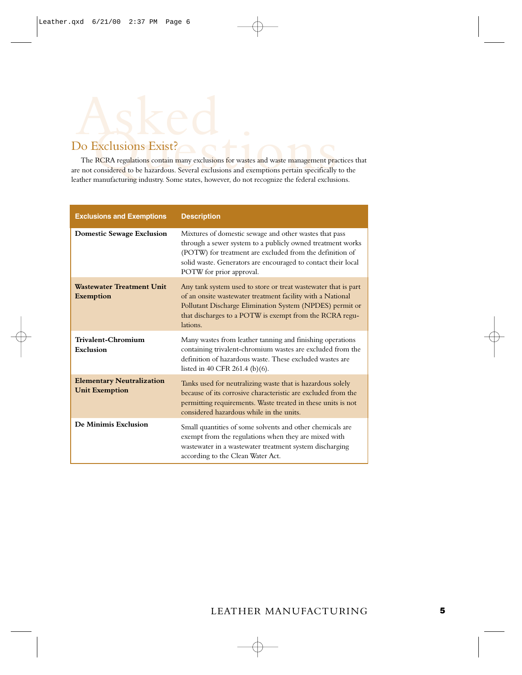## Do Exclusions Exist?<br>The RCRA regulations contain many exclusions for wastes and waste management pra<br>are not considered to be hazardous. Several exclusions and exemptions pertain specifically<br>leather manufacturing industr

The RCRA regulations contain many exclusions for wastes and waste management practices that are not considered to be hazardous. Several exclusions and exemptions pertain specifically to the leather manufacturing industry. Some states, however, do not recognize the federal exclusions.

| <b>Exclusions and Exemptions</b>                          | <b>Description</b>                                                                                                                                                                                                                                                            |
|-----------------------------------------------------------|-------------------------------------------------------------------------------------------------------------------------------------------------------------------------------------------------------------------------------------------------------------------------------|
| <b>Domestic Sewage Exclusion</b>                          | Mixtures of domestic sewage and other wastes that pass<br>through a sewer system to a publicly owned treatment works<br>(POTW) for treatment are excluded from the definition of<br>solid waste. Generators are encouraged to contact their local<br>POTW for prior approval. |
| <b>Wastewater Treatment Unit</b><br><b>Exemption</b>      | Any tank system used to store or treat wastewater that is part<br>of an onsite wastewater treatment facility with a National<br>Pollutant Discharge Elimination System (NPDES) permit or<br>that discharges to a POTW is exempt from the RCRA regu-<br>lations.               |
| Trivalent-Chromium<br>Exclusion                           | Many wastes from leather tanning and finishing operations<br>containing trivalent-chromium wastes are excluded from the<br>definition of hazardous waste. These excluded wastes are<br>listed in 40 CFR 261.4 (b)(6).                                                         |
| <b>Elementary Neutralization</b><br><b>Unit Exemption</b> | Tanks used for neutralizing waste that is hazardous solely<br>because of its corrosive characteristic are excluded from the<br>permitting requirements. Waste treated in these units is not<br>considered hazardous while in the units.                                       |
| De Minimis Exclusion                                      | Small quantities of some solvents and other chemicals are<br>exempt from the regulations when they are mixed with<br>wastewater in a wastewater treatment system discharging<br>according to the Clean Water Act.                                                             |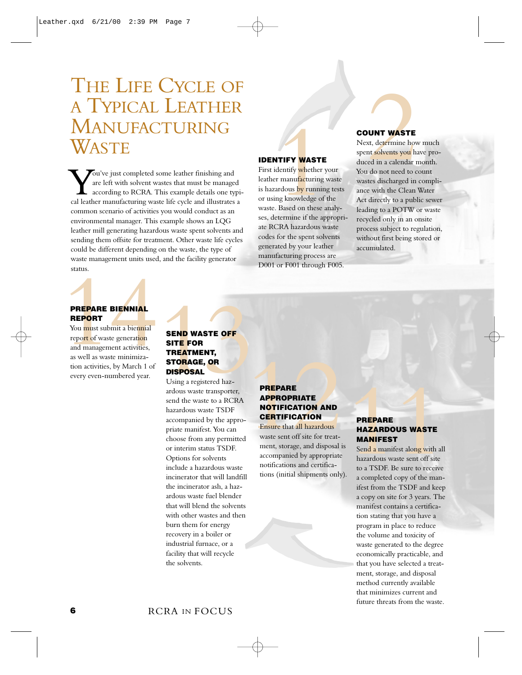### <span id="page-7-0"></span>THE LIFE CYCLE OF A TYPICAL LEATHER MANUFACTURING **WASTE**

**V**ou've just completed some leather finishing and are left with solvent wastes that must be managed according to RCRA. This example details one typical leather manufacturing waste life cycle and illustrates a are left with solvent wastes that must be managed according to RCRA. This example details one typicommon scenario of activities you would conduct as an environmental manager. This example shows an LQG leather mill generating hazardous waste spent solvents and sending them offsite for treatment. Other waste life cycles could be different depending on the waste, the type of waste management units used, and the facility generator status.

### **REPORT**

**PREPARE BIENNIAL**<br> **REPORT**<br>
You must submit a biennial<br>
report of waste generation<br>
and management activities,<br>
as well as waste minimization activities, by March 1 of You must submit a biennial report of waste generation and management activities, as well as waste minimization activities, by March 1 of every even-numbered year.

### **SEND WASTE OFF SITE FOR TREATMENT, STORAGE, OR DISPOSAL**

**SEND WASTE OFF**<br> **SITE FOR**<br> **SITE FOR**<br> **SITE FOR**<br> **SITE FOR**<br> **SITE FOR**<br> **SISPOSAL**<br> **USING AGE, OR**<br> **REPARE**<br>
and the waste transporter,<br>
send the waste transportant of SITE CATION<br>
accompanied by the appropriate ma Using a registered hazardous waste transporter, send the waste to a RCRA hazardous waste TSDF accompanied by the appropriate manifest. You can choose from any permitted or interim status TSDF. Options for solvents include a hazardous waste incinerator that will landfill the incinerator ash, a hazardous waste fuel blender that will blend the solvents with other wastes and then burn them for energy recovery in a boiler or industrial furnace, or a facility that will recycle the solvents.

### **IDENTIFY WASTE** First identify whether your

leather manufacturing waste is hazardous by running tests or using knowledge of the waste. Based on these analyses, determine if the appropriate RCRA hazardous waste codes for the spent solvents generated by your leather manufacturing process are D001 or F001 through F005.

### **COUNT WASTE**

**COUNT WASTE**<br>
Next, determine how much<br>
spent solvents you have pro-<br>
dentify whether your<br>
You do not need to count<br>
r manufacturing waste<br>
xastes discharged in compli-<br>
and wastes discharged in compli-<br>
and wastes disch Next, determine how much spent solvents you have produced in a calendar month. You do not need to count wastes discharged in compliance with the Clean Water Act directly to a public sewer leading to a POTW or waste recycled only in an onsite process subject to regulation, without first being stored or accumulated.

### **PREPARE APPROPRIATE NOTIFICATION AND CERTIFICATION**

Ensure that all hazardous waste sent off site for treatment, storage, and disposal is accompanied by appropriate notifications and certifications (initial shipments only).

### **PREPARE HAZARDOUS WASTE MANIFEST**

Send a manifest along with all hazardous waste sent off site to a TSDF. Be sure to receive a completed copy of the manifest from the TSDF and keep a copy on site for 3 years. The manifest contains a certification stating that you have a program in place to reduce the volume and toxicity of waste generated to the degree economically practicable, and that you have selected a treatment, storage, and disposal method currently available that minimizes current and future threats from the waste.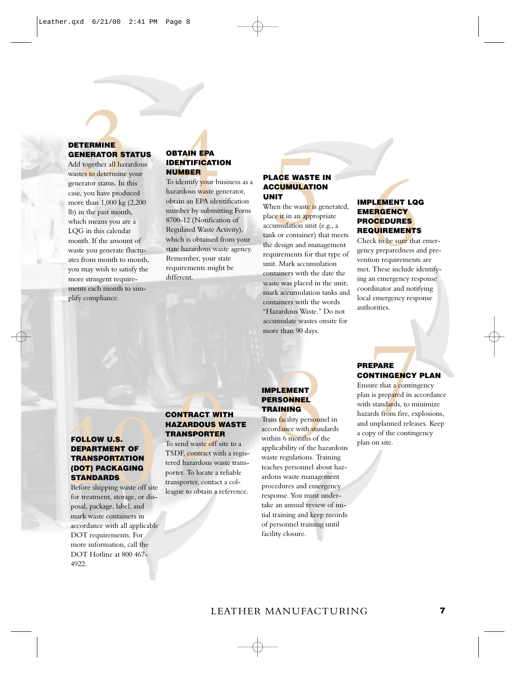### **DETERMINE GENERATOR STATUS**

**ERMINE**<br> **NERATOR STATUS**<br> **OBTAIN EPA**<br> **EPA**<br> **EPA**<br> **EPA**<br> **EPA**<br> **EPA**<br> **EPA**<br> **EPA**<br> **EPA**<br> **EPA**<br> **EPA**<br> **EPA**<br> **EPAIDON**<br> **EPA**<br> **EPA**<br> **OBTAIN EPA**<br> **OBTAIN EPA**<br> **OBTAIN EPA**<br> **ODENTIFICATION**<br> **ODENTIFICATION**<br> Add together all hazardous wastes to determine your generator status. In this case, you have produced more than 1,000 kg (2,200 lb) in the past month, which means you are a LQG in this calendar month. If the amount of waste you generate fluctuates from month to month, you may wish to satisfy the more stringent requirements each month to simplify compliance.

### **IDENTIFICATION NUMBER**

To identify your business as a hazardous waste generator, obtain an EPA identification number by submitting Form 8700-12 (Notification of Regulated Waste Activity), which is obtained from your state hazardous waste agency. Remember, your state requirements might be different.

### **PLACE WASTE IN ACCUMULATION UNIT**

**EXECUALITY CONSUMING THE INCREMENT LOG**<br>
SCUMULATION<br>
Then the waste is generated,<br> **EMERGENCY**<br> **EMERGENCY**<br>
TROCEDURES<br>
UMILATION<br>
TROCEDURES<br>
ENCEDURES<br>
REQUIREMENTS<br>
As or container) that mets<br>
cleasign and management When the waste is generated, place it in an appropriate accumulation unit (e.g., a tank or container) that meets the design and management requirements for that type of unit. Mark accumulation containers with the date the waste was placed in the unit; mark accumulation tanks and containers with the words "Hazardous Waste." Do not accumulate wastes onsite for more than 90 days.

### **IMPLEMENT LQG EMERGENCY PROCEDURES REQUIREMENTS**

Check to be sure that emergency preparedness and prevention requirements are met. These include identifying an emergency response coordinator and notifying local emergency response authorities.

### **FOLLOW U.S. DEPARTMENT OF TRANSPORTATION (DOT) PACKAGING STANDARDS**

Before shipping waste off site for treatment, storage, or disposal, package, label, and mark waste containers in accordance with all applicable DOT requirements. For more information, call the DOT Hotline at 800 467- 4922.

### **CONTRACT WITH HAZARDOUS WASTE TRANSPORTER**

To send waste off site to a TSDF, contract with a registered hazardous waste transporter. To locate a reliable transporter, contact a colleague to obtain a reference.

### **IMPLEMENT PERSONNEL TRAINING**

**EXERCUSE TRANSPORT MELEMENT DESCRIPTION AND ENSURE CONTINGENCY PLAN ENGINE DESCRIPTION DESCRIPTION TRAINING Pain is prepared in accordance with standards, to minimize <b>CONTRACT WITH**<br> **EXERCULTER MELEMENT PERSONNEL** plan Train facility personnel in accordance with standards within 6 months of the applicability of the hazardous waste regulations. Training teaches personnel about hazardous waste management procedures and emergency response. You must undertake an annual review of initial training and keep records of personnel training until facility closure.

### **PREPARE CONTINGENCY PLAN**

Ensure that a contingency plan is prepared in accordance with standards, to minimize hazards from fire, explosions, and unplanned releases. Keep a copy of the contingency plan on site.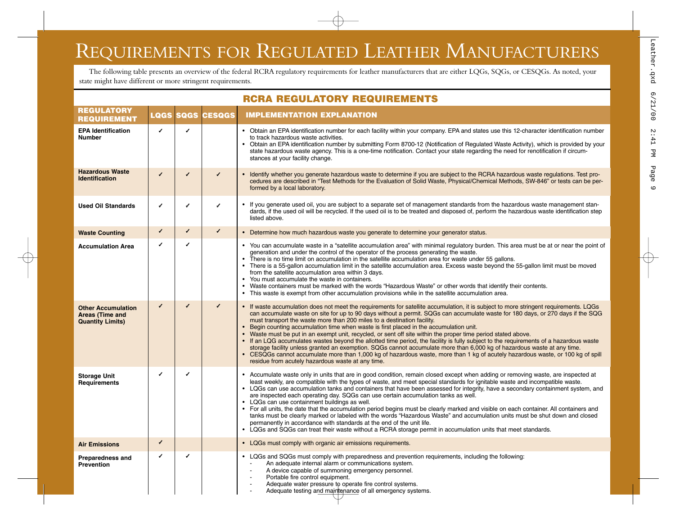### <span id="page-9-0"></span>REQUIREMENTS FOR REGULATED LEATHER MANUFACTURERS

The following table presents an overview of the federal RCRA regulatory requirements for leather manufacturers that are either LQGs, SQGs, or CESQGs. As noted, your state might have different or more stringent requirements.

| <b>RCRA REGULATORY REQUIREMENTS</b>                                            |   |   |                         |                                                                                                                                                                                                                                                                                                                                                                                                                                                                                                                                                                                                                                                                                                                                                                                                                                                                                                                                                                                                                              |
|--------------------------------------------------------------------------------|---|---|-------------------------|------------------------------------------------------------------------------------------------------------------------------------------------------------------------------------------------------------------------------------------------------------------------------------------------------------------------------------------------------------------------------------------------------------------------------------------------------------------------------------------------------------------------------------------------------------------------------------------------------------------------------------------------------------------------------------------------------------------------------------------------------------------------------------------------------------------------------------------------------------------------------------------------------------------------------------------------------------------------------------------------------------------------------|
| <b>REGULATORY</b><br><b>REQUIREMENT</b>                                        |   |   | <b>LQGS SQGS CESQGS</b> | <b>IMPLEMENTATION EXPLANATION</b>                                                                                                                                                                                                                                                                                                                                                                                                                                                                                                                                                                                                                                                                                                                                                                                                                                                                                                                                                                                            |
| <b>EPA Identification</b><br><b>Number</b>                                     | J | ✔ |                         | • Obtain an EPA identification number for each facility within your company. EPA and states use this 12-character identification number<br>to track hazardous waste activities.<br>• Obtain an EPA identification number by submitting Form 8700-12 (Notification of Regulated Waste Activity), which is provided by your<br>state hazardous waste agency. This is a one-time notification. Contact your state regarding the need for renotification if circum-<br>stances at your facility change.                                                                                                                                                                                                                                                                                                                                                                                                                                                                                                                          |
| <b>Hazardous Waste</b><br><b>Identification</b>                                | ✓ | ✔ | ✔                       | • Identify whether you generate hazardous waste to determine if you are subject to the RCRA hazardous waste regulations. Test pro-<br>cedures are described in "Test Methods for the Evaluation of Solid Waste, Physical/Chemical Methods, SW-846" or tests can be per-<br>formed by a local laboratory.                                                                                                                                                                                                                                                                                                                                                                                                                                                                                                                                                                                                                                                                                                                     |
| <b>Used Oil Standards</b>                                                      | ✓ | ✓ | ✔                       | • If you generate used oil, you are subject to a separate set of management standards from the hazardous waste management stan-<br>dards, if the used oil will be recycled. If the used oil is to be treated and disposed of, perform the hazardous waste identification step<br>listed above.                                                                                                                                                                                                                                                                                                                                                                                                                                                                                                                                                                                                                                                                                                                               |
| <b>Waste Counting</b>                                                          | ✓ | ✓ | ✓                       | • Determine how much hazardous waste you generate to determine your generator status.                                                                                                                                                                                                                                                                                                                                                                                                                                                                                                                                                                                                                                                                                                                                                                                                                                                                                                                                        |
| <b>Accumulation Area</b>                                                       | ✔ | ✔ |                         | • You can accumulate waste in a "satellite accumulation area" with minimal regulatory burden. This area must be at or near the point of<br>generation and under the control of the operator of the process generating the waste.<br>There is no time limit on accumulation in the satellite accumulation area for waste under 55 gallons.<br>• There is a 55-gallon accumulation limit in the satellite accumulation area. Excess waste beyond the 55-gallon limit must be moved<br>from the satellite accumulation area within 3 days.<br>You must accumulate the waste in containers.<br>$\bullet$<br>• Waste containers must be marked with the words "Hazardous Waste" or other words that identify their contents.<br>• This waste is exempt from other accumulation provisions while in the satellite accumulation area.                                                                                                                                                                                               |
| <b>Other Accumulation</b><br><b>Areas (Time and</b><br><b>Quantity Limits)</b> | ✓ | ✓ | ✓                       | • If waste accumulation does not meet the requirements for satellite accumulation, it is subject to more stringent requirements. LQGs<br>can accumulate waste on site for up to 90 days without a permit. SQGs can accumulate waste for 180 days, or 270 days if the SQG<br>must transport the waste more than 200 miles to a destination facility.<br>• Begin counting accumulation time when waste is first placed in the accumulation unit.<br>• Waste must be put in an exempt unit, recycled, or sent off site within the proper time period stated above.<br>• If an LQG accumulates wastes beyond the allotted time period, the facility is fully subject to the requirements of a hazardous waste<br>storage facility unless granted an exemption. SQGs cannot accumulate more than 6,000 kg of hazardous waste at any time.<br>• CESQGs cannot accumulate more than 1,000 kg of hazardous waste, more than 1 kg of acutely hazardous waste, or 100 kg of spill<br>residue from acutely hazardous waste at any time. |
| <b>Storage Unit</b><br>Requirements                                            | ✔ | ✔ |                         | • Accumulate waste only in units that are in good condition, remain closed except when adding or removing waste, are inspected at<br>least weekly, are compatible with the types of waste, and meet special standards for ignitable waste and incompatible waste.<br>• LQGs can use accumulation tanks and containers that have been assessed for integrity, have a secondary containment system, and<br>are inspected each operating day. SQGs can use certain accumulation tanks as well.<br>• LQGs can use containment buildings as well.<br>• For all units, the date that the accumulation period begins must be clearly marked and visible on each container. All containers and<br>tanks must be clearly marked or labeled with the words "Hazardous Waste" and accumulation units must be shut down and closed<br>permanently in accordance with standards at the end of the unit life.<br>LQGs and SQGs can treat their waste without a RCRA storage permit in accumulation units that meet standards.              |
| <b>Air Emissions</b>                                                           | ✓ |   |                         | • LQGs must comply with organic air emissions requirements.                                                                                                                                                                                                                                                                                                                                                                                                                                                                                                                                                                                                                                                                                                                                                                                                                                                                                                                                                                  |
| <b>Preparedness and</b><br><b>Prevention</b>                                   | ✔ |   |                         | • LQGs and SQGs must comply with preparedness and prevention requirements, including the following:<br>An adequate internal alarm or communications system.<br>A device capable of summoning emergency personnel.<br>Portable fire control caujoment                                                                                                                                                                                                                                                                                                                                                                                                                                                                                                                                                                                                                                                                                                                                                                         |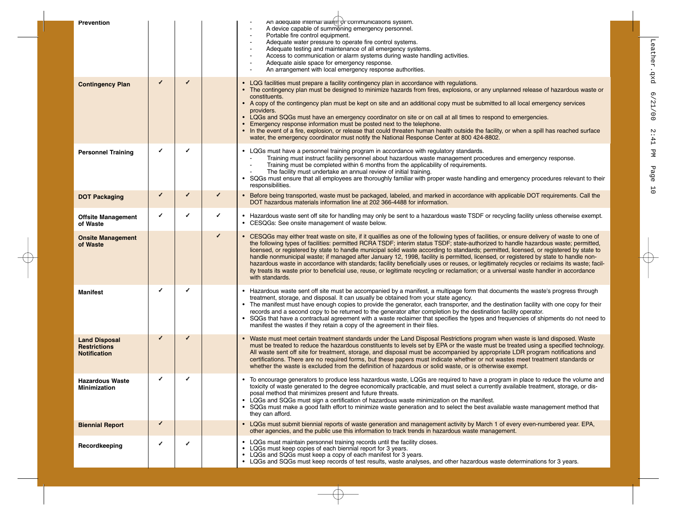|                                                                    |   |   |   | <u>, ortanic inc corruor equipment</u><br>Adequate water pressure to operate fire control systems.<br>Adequate testing and maintenance of all emergency systems.<br>Access to communication or alarm systems during waste handling activities.<br>Adequate aisle space for emergency response.<br>An arrangement with local emergency response authorities.                                                                                                                                                                                                                                                                                                                                                                                                                                                                                                                       |
|--------------------------------------------------------------------|---|---|---|-----------------------------------------------------------------------------------------------------------------------------------------------------------------------------------------------------------------------------------------------------------------------------------------------------------------------------------------------------------------------------------------------------------------------------------------------------------------------------------------------------------------------------------------------------------------------------------------------------------------------------------------------------------------------------------------------------------------------------------------------------------------------------------------------------------------------------------------------------------------------------------|
| <b>Contingency Plan</b>                                            | ✓ | ✓ |   | • LQG facilities must prepare a facility contingency plan in accordance with regulations.<br>The contingency plan must be designed to minimize hazards from fires, explosions, or any unplanned release of hazardous waste or<br>constituents.<br>• A copy of the contingency plan must be kept on site and an additional copy must be submitted to all local emergency services<br>providers.<br>• LQGs and SQGs must have an emergency coordinator on site or on call at all times to respond to emergencies.<br>• Emergency response information must be posted next to the telephone.<br>• In the event of a fire, explosion, or release that could threaten human health outside the facility, or when a spill has reached surface<br>water, the emergency coordinator must notify the National Response Center at 800 424-8802.                                             |
| <b>Personnel Training</b>                                          | ✔ | ✔ |   | • LQGs must have a personnel training program in accordance with regulatory standards.<br>Training must instruct facility personnel about hazardous waste management procedures and emergency response.<br>Training must be completed within 6 months from the applicability of requirements.<br>The facility must undertake an annual review of initial training.<br>SQGs must ensure that all employees are thoroughly familiar with proper waste handling and emergency procedures relevant to their<br>$\bullet$<br>responsibilities.                                                                                                                                                                                                                                                                                                                                         |
| <b>DOT Packaging</b>                                               | ✔ | ✓ | ✓ | • Before being transported, waste must be packaged, labeled, and marked in accordance with applicable DOT requirements. Call the<br>DOT hazardous materials information line at 202 366-4488 for information.                                                                                                                                                                                                                                                                                                                                                                                                                                                                                                                                                                                                                                                                     |
| <b>Offsite Management</b><br>of Waste                              | ✓ | ✓ | ✔ | • Hazardous waste sent off site for handling may only be sent to a hazardous waste TSDF or recycling facility unless otherwise exempt.<br>• CESQGs: See onsite management of waste below.                                                                                                                                                                                                                                                                                                                                                                                                                                                                                                                                                                                                                                                                                         |
| <b>Onsite Management</b><br>of Waste                               |   |   | J | • CESQGs may either treat waste on site, if it qualifies as one of the following types of facilities, or ensure delivery of waste to one of<br>the following types of facilities: permitted RCRA TSDF; interim status TSDF; state-authorized to handle hazardous waste; permitted,<br>licensed, or registered by state to handle municipal solid waste according to standards; permitted, licensed, or registered by state to<br>handle nonmunicipal waste; if managed after January 12, 1998, facility is permitted, licensed, or registered by state to handle non-<br>hazardous waste in accordance with standards; facility beneficially uses or reuses, or legitimately recycles or reclaims its waste; facil-<br>ity treats its waste prior to beneficial use, reuse, or legitimate recycling or reclamation; or a universal waste handler in accordance<br>with standards. |
| <b>Manifest</b>                                                    | J | ✔ |   | Hazardous waste sent off site must be accompanied by a manifest, a multipage form that documents the waste's progress through<br>treatment, storage, and disposal. It can usually be obtained from your state agency.<br>The manifest must have enough copies to provide the generator, each transporter, and the destination facility with one copy for their<br>records and a second copy to be returned to the generator after completion by the destination facility operator.<br>SQGs that have a contractual agreement with a waste reclaimer that specifies the types and frequencies of shipments do not need to<br>manifest the wastes if they retain a copy of the agreement in their files.                                                                                                                                                                            |
| <b>Land Disposal</b><br><b>Restrictions</b><br><b>Notification</b> | ✓ |   |   | Waste must meet certain treatment standards under the Land Disposal Restrictions program when waste is land disposed. Waste<br>must be treated to reduce the hazardous constituents to levels set by EPA or the waste must be treated using a specified technology.<br>All waste sent off site for treatment, storage, and disposal must be accompanied by appropriate LDR program notifications and<br>certifications. There are no required forms, but these papers must indicate whether or not wastes meet treatment standards or<br>whether the waste is excluded from the definition of hazardous or solid waste, or is otherwise exempt.                                                                                                                                                                                                                                   |
| <b>Hazardous Waste</b><br><b>Minimization</b>                      | ✔ |   |   | To encourage generators to produce less hazardous waste, LQGs are required to have a program in place to reduce the volume and<br>toxicity of waste generated to the degree economically practicable, and must select a currently available treatment, storage, or dis-<br>posal method that minimizes present and future threats.<br>LQGs and SQGs must sign a certification of hazardous waste minimization on the manifest.<br>$\bullet$<br>SQGs must make a good faith effort to minimize waste generation and to select the best available waste management method that<br>they can afford.                                                                                                                                                                                                                                                                                  |
| <b>Biennial Report</b>                                             | ✔ |   |   | • LQGs must submit biennial reports of waste generation and management activity by March 1 of every even-numbered year. EPA,<br>other agencies, and the public use this information to track trends in hazardous waste management.                                                                                                                                                                                                                                                                                                                                                                                                                                                                                                                                                                                                                                                |
| Recordkeeping                                                      | ✔ | ✔ |   | LQGs must maintain personnel training records until the facility closes.<br>LQGs must keep copies of each biennial report for 3 years.<br>• LQGs and SQGs must keep a copy of each manifest for 3 years.<br>• LQGs and SQGs must keep records of test results, waste analyses, and other hazardous waste determinations for 3 years.                                                                                                                                                                                                                                                                                                                                                                                                                                                                                                                                              |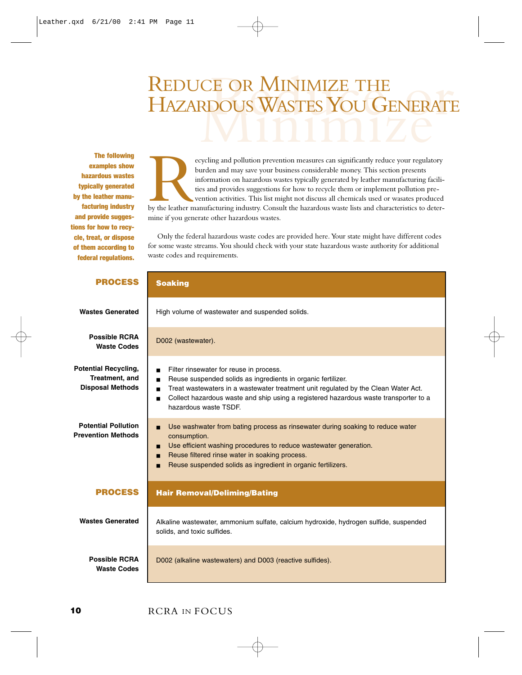### <span id="page-11-0"></span>CE OR MINIMIZE THE<br>RDOUS WASTES YOU GENERATE REDUCE OR MINIMIZE THE HAZARDOUS WASTES YOU GENERATE

The following examples show hazardous wastes typically generated by the leather manufacturing industry and provide suggestions for how to recycle, treat, or dispose of them according to federal regulations.

ecycling and pollution prevention measures can significantly reduce your regulatory<br>burden and may save your business considerable money. This section presents<br>information on hazardous wastes typically generated by leather burden and may save your business considerable money. This section presents information on hazardous wastes typically generated by leather manufacturing facilities and provides suggestions for how to recycle them or implement pollution prevention activities. This list might not discuss all chemicals used or wasates produced by the leather manufacturing industry. Consult the hazardous waste lists and characteristics to determine if you generate other hazardous wastes.

Only the federal hazardous waste codes are provided here. Your state might have different codes for some waste streams. You should check with your state hazardous waste authority for additional waste codes and requirements.

| <b>PROCESS</b>                                                           | <b>Soaking</b>                                                                                                                                                                                                                                                                                                                                                       |
|--------------------------------------------------------------------------|----------------------------------------------------------------------------------------------------------------------------------------------------------------------------------------------------------------------------------------------------------------------------------------------------------------------------------------------------------------------|
| <b>Wastes Generated</b>                                                  | High volume of wastewater and suspended solids.                                                                                                                                                                                                                                                                                                                      |
| <b>Possible RCRA</b><br><b>Waste Codes</b>                               | D002 (wastewater).                                                                                                                                                                                                                                                                                                                                                   |
| <b>Potential Recycling,</b><br>Treatment, and<br><b>Disposal Methods</b> | Filter rinsewater for reuse in process.<br>Reuse suspended solids as ingredients in organic fertilizer.<br>$\blacksquare$<br>Treat wastewaters in a wastewater treatment unit regulated by the Clean Water Act.<br>$\blacksquare$<br>Collect hazardous waste and ship using a registered hazardous waste transporter to a<br>$\blacksquare$<br>hazardous waste TSDF. |
| <b>Potential Pollution</b><br><b>Prevention Methods</b>                  | Use washwater from bating process as rinsewater during soaking to reduce water<br>п<br>consumption.<br>Use efficient washing procedures to reduce wastewater generation.<br>п<br>Reuse filtered rinse water in soaking process.<br>п<br>Reuse suspended solids as ingredient in organic fertilizers.                                                                 |
| <b>PROCESS</b>                                                           | <b>Hair Removal/Deliming/Bating</b>                                                                                                                                                                                                                                                                                                                                  |
| <b>Wastes Generated</b>                                                  | Alkaline wastewater, ammonium sulfate, calcium hydroxide, hydrogen sulfide, suspended<br>solids, and toxic sulfides.                                                                                                                                                                                                                                                 |
| <b>Possible RCRA</b><br><b>Waste Codes</b>                               | D002 (alkaline wastewaters) and D003 (reactive sulfides).                                                                                                                                                                                                                                                                                                            |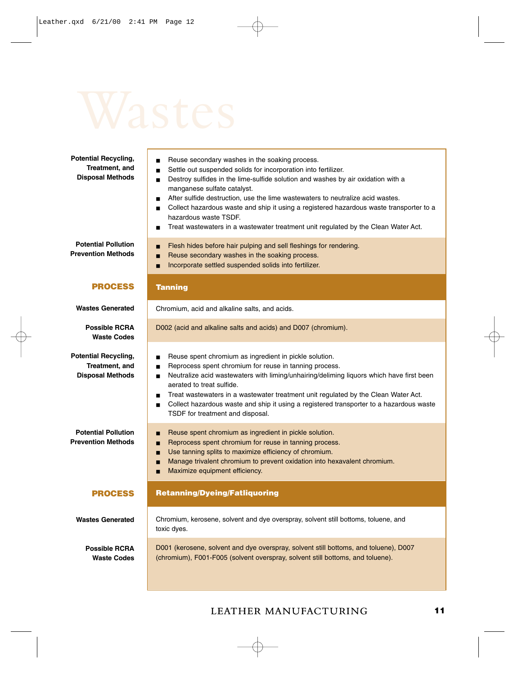| <b>Potential Recycling,</b><br>Treatment, and<br><b>Disposal Methods</b> | Reuse secondary washes in the soaking process.<br>$\blacksquare$<br>Settle out suspended solids for incorporation into fertilizer.<br>$\blacksquare$<br>Destroy sulfides in the lime-sulfide solution and washes by air oxidation with a<br>$\blacksquare$<br>manganese sulfate catalyst.<br>After sulfide destruction, use the lime wastewaters to neutralize acid wastes.<br>$\blacksquare$<br>Collect hazardous waste and ship it using a registered hazardous waste transporter to a<br>$\blacksquare$<br>hazardous waste TSDF.<br>Treat wastewaters in a wastewater treatment unit regulated by the Clean Water Act.<br>$\blacksquare$ |
|--------------------------------------------------------------------------|---------------------------------------------------------------------------------------------------------------------------------------------------------------------------------------------------------------------------------------------------------------------------------------------------------------------------------------------------------------------------------------------------------------------------------------------------------------------------------------------------------------------------------------------------------------------------------------------------------------------------------------------|
| <b>Potential Pollution</b><br><b>Prevention Methods</b>                  | Flesh hides before hair pulping and sell fleshings for rendering.<br>п<br>Reuse secondary washes in the soaking process.<br>п<br>Incorporate settled suspended solids into fertilizer.<br>п                                                                                                                                                                                                                                                                                                                                                                                                                                                 |
| <b>PROCESS</b>                                                           | <b>Tanning</b>                                                                                                                                                                                                                                                                                                                                                                                                                                                                                                                                                                                                                              |
| <b>Wastes Generated</b>                                                  | Chromium, acid and alkaline salts, and acids.                                                                                                                                                                                                                                                                                                                                                                                                                                                                                                                                                                                               |
| <b>Possible RCRA</b><br><b>Waste Codes</b>                               | D002 (acid and alkaline salts and acids) and D007 (chromium).                                                                                                                                                                                                                                                                                                                                                                                                                                                                                                                                                                               |
| <b>Potential Recycling,</b><br>Treatment, and<br><b>Disposal Methods</b> | Reuse spent chromium as ingredient in pickle solution.<br>$\blacksquare$<br>Reprocess spent chromium for reuse in tanning process.<br>Ξ<br>Neutralize acid wastewaters with liming/unhairing/deliming liquors which have first been<br>aerated to treat sulfide.<br>Treat wastewaters in a wastewater treatment unit regulated by the Clean Water Act.<br>$\blacksquare$<br>Collect hazardous waste and ship it using a registered transporter to a hazardous waste<br>TSDF for treatment and disposal.                                                                                                                                     |
| <b>Potential Pollution</b><br><b>Prevention Methods</b>                  | Reuse spent chromium as ingredient in pickle solution.<br>п<br>Reprocess spent chromium for reuse in tanning process.<br>π<br>Use tanning splits to maximize efficiency of chromium.<br>п<br>Manage trivalent chromium to prevent oxidation into hexavalent chromium.<br>п<br>Maximize equipment efficiency.<br>п                                                                                                                                                                                                                                                                                                                           |
| <b>PROCESS</b>                                                           | <b>Retanning/Dyeing/Fatliquoring</b>                                                                                                                                                                                                                                                                                                                                                                                                                                                                                                                                                                                                        |
| <b>Wastes Generated</b>                                                  | Chromium, kerosene, solvent and dye overspray, solvent still bottoms, toluene, and<br>toxic dyes.                                                                                                                                                                                                                                                                                                                                                                                                                                                                                                                                           |
| <b>Possible RCRA</b><br><b>Waste Codes</b>                               | D001 (kerosene, solvent and dye overspray, solvent still bottoms, and toluene), D007<br>(chromium), F001-F005 (solvent overspray, solvent still bottoms, and toluene).                                                                                                                                                                                                                                                                                                                                                                                                                                                                      |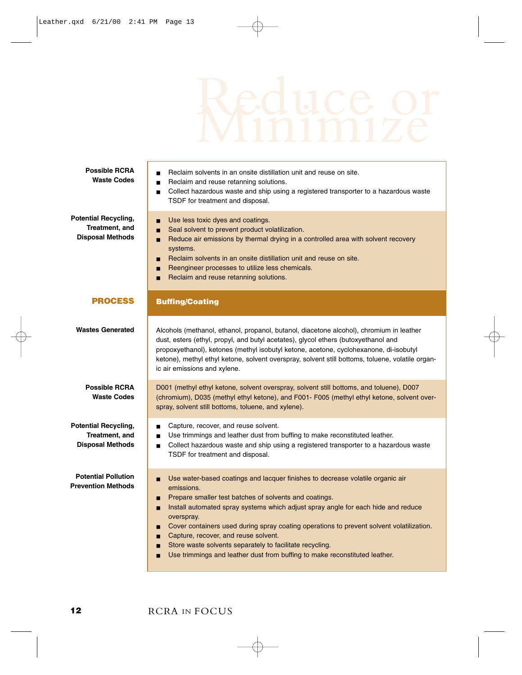| <b>Possible RCRA</b><br><b>Waste Codes</b>                               | Reclaim solvents in an onsite distillation unit and reuse on site.<br>$\blacksquare$<br>Reclaim and reuse retanning solutions.<br>$\blacksquare$<br>Collect hazardous waste and ship using a registered transporter to a hazardous waste<br>TSDF for treatment and disposal.                                                                                                                                                                                                                                                                                                            |
|--------------------------------------------------------------------------|-----------------------------------------------------------------------------------------------------------------------------------------------------------------------------------------------------------------------------------------------------------------------------------------------------------------------------------------------------------------------------------------------------------------------------------------------------------------------------------------------------------------------------------------------------------------------------------------|
| <b>Potential Recycling,</b><br>Treatment, and<br><b>Disposal Methods</b> | Use less toxic dyes and coatings.<br>п<br>Seal solvent to prevent product volatilization.<br>π<br>Reduce air emissions by thermal drying in a controlled area with solvent recovery<br>п<br>systems.<br>Reclaim solvents in an onsite distillation unit and reuse on site.<br>п<br>Reengineer processes to utilize less chemicals.<br>п<br>Reclaim and reuse retanning solutions.<br>п                                                                                                                                                                                                  |
| <b>PROCESS</b>                                                           | <b>Buffing/Coating</b>                                                                                                                                                                                                                                                                                                                                                                                                                                                                                                                                                                  |
| <b>Wastes Generated</b>                                                  | Alcohols (methanol, ethanol, propanol, butanol, diacetone alcohol), chromium in leather<br>dust, esters (ethyl, propyl, and butyl acetates), glycol ethers (butoxyethanol and<br>propoxyethanol), ketones (methyl isobutyl ketone, acetone, cyclohexanone, di-isobutyl<br>ketone), methyl ethyl ketone, solvent overspray, solvent still bottoms, toluene, volatile organ-<br>ic air emissions and xylene.                                                                                                                                                                              |
| <b>Possible RCRA</b><br><b>Waste Codes</b>                               | D001 (methyl ethyl ketone, solvent overspray, solvent still bottoms, and toluene), D007<br>(chromium), D035 (methyl ethyl ketone), and F001- F005 (methyl ethyl ketone, solvent over-<br>spray, solvent still bottoms, toluene, and xylene).                                                                                                                                                                                                                                                                                                                                            |
| <b>Potential Recycling,</b><br>Treatment, and<br><b>Disposal Methods</b> | Capture, recover, and reuse solvent.<br>Use trimmings and leather dust from buffing to make reconstituted leather.<br>$\blacksquare$<br>Collect hazardous waste and ship using a registered transporter to a hazardous waste<br>$\blacksquare$<br>TSDF for treatment and disposal.                                                                                                                                                                                                                                                                                                      |
| <b>Potential Pollution</b><br><b>Prevention Methods</b>                  | Use water-based coatings and lacquer finishes to decrease volatile organic air<br>п<br>emissions.<br>Prepare smaller test batches of solvents and coatings.<br>п<br>Install automated spray systems which adjust spray angle for each hide and reduce<br>п<br>overspray.<br>Cover containers used during spray coating operations to prevent solvent volatilization.<br>п<br>Capture, recover, and reuse solvent.<br>п<br>Store waste solvents separately to facilitate recycling.<br>$\blacksquare$<br>Use trimmings and leather dust from buffing to make reconstituted leather.<br>п |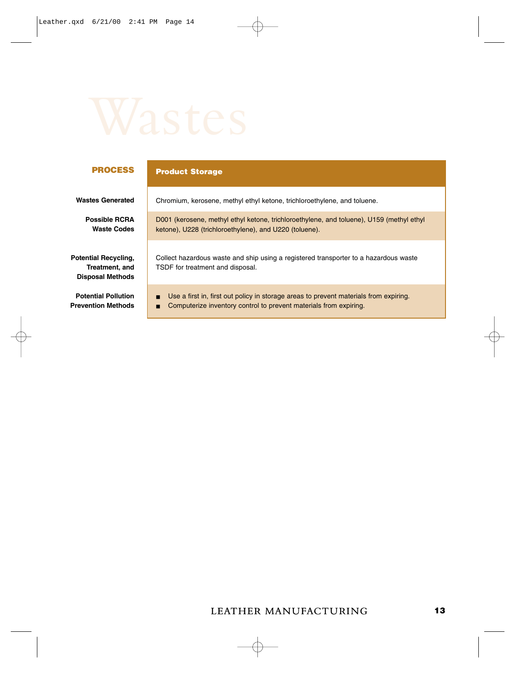### **PROCESS**

### **Product Storage**

| <b>Wastes Generated</b>                                                  | Chromium, kerosene, methyl ethyl ketone, trichloroethylene, and toluene.                                                                                        |
|--------------------------------------------------------------------------|-----------------------------------------------------------------------------------------------------------------------------------------------------------------|
| <b>Possible RCRA</b><br><b>Waste Codes</b>                               | D001 (kerosene, methyl ethyl ketone, trichloroethylene, and toluene), U159 (methyl ethyl<br>ketone), U228 (trichloroethylene), and U220 (toluene).              |
| <b>Potential Recycling,</b><br>Treatment, and<br><b>Disposal Methods</b> | Collect hazardous waste and ship using a registered transporter to a hazardous waste<br>TSDF for treatment and disposal.                                        |
| <b>Potential Pollution</b><br>Prevention Methods                         | Use a first in, first out policy in storage areas to prevent materials from expiring.<br>Computerize inventory control to prevent materials from expiring.<br>п |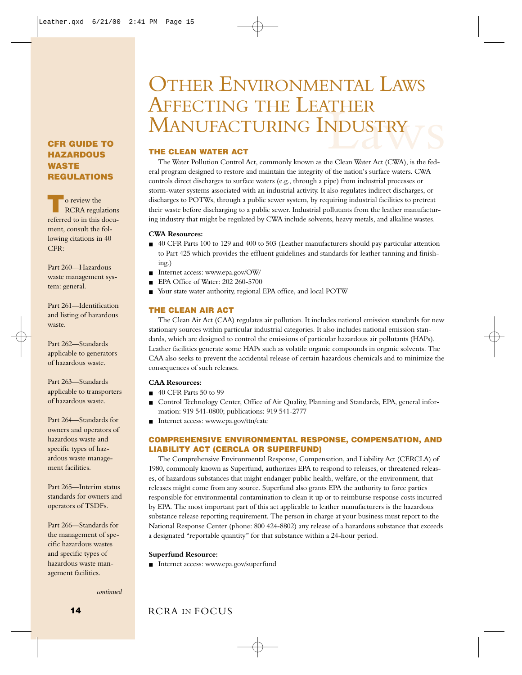### <span id="page-15-0"></span>**CFR GUIDE TO HAZARDOUS WASTE REGULATIONS**

**T**o review the RCRA regulations referred to in this document, consult the following citations in 40 CFR:

Part 260—Hazardous waste management system: general.

Part 261—Identification and listing of hazardous waste.

Part 262—Standards applicable to generators of hazardous waste.

Part 263—Standards applicable to transporters of hazardous waste.

Part 264—Standards for owners and operators of hazardous waste and specific types of hazardous waste management facilities.

Part 265—Interim status standards for owners and operators of TSDFs.

Part 266—Standards for the management of specific hazardous wastes and specific types of hazardous waste management facilities.

*continued*

### NDUSTRY<br>Reclean Water Act (CWA), is the fed-OTHER ENVIRONMENTAL LAWS AFFECTING THE LEATHER MANUFACTURING INDUSTRY

### **THE CLEAN WATER ACT**

The Water Pollution Control Act, commonly known as the Clean Water Act (CWA), is the federal program designed to restore and maintain the integrity of the nation's surface waters. CWA controls direct discharges to surface waters (e.g., through a pipe) from industrial processes or storm-water systems associated with an industrial activity. It also regulates indirect discharges, or discharges to POTWs, through a public sewer system, by requiring industrial facilities to pretreat their waste before discharging to a public sewer. Industrial pollutants from the leather manufacturing industry that might be regulated by CWA include solvents, heavy metals, and alkaline wastes.

### **CWA Resources:**

- 40 CFR Parts 100 to 129 and 400 to 503 (Leather manufacturers should pay particular attention to Part 425 which provides the effluent guidelines and standards for leather tanning and finishing.)
- Internet access: www.epa.gov/OW/
- EPA Office of Water: 202 260-5700
- Your state water authority, regional EPA office, and local POTW

### **THE CLEAN AIR ACT**

The Clean Air Act (CAA) regulates air pollution. It includes national emission standards for new stationary sources within particular industrial categories. It also includes national emission standards, which are designed to control the emissions of particular hazardous air pollutants (HAPs). Leather facilities generate some HAPs such as volatile organic compounds in organic solvents. The CAA also seeks to prevent the accidental release of certain hazardous chemicals and to minimize the consequences of such releases.

### **CAA Resources:**

- 40 CFR Parts 50 to 99
- Control Technology Center, Office of Air Quality, Planning and Standards, EPA, general information: 919 541-0800; publications: 919 541-2777
- Internet access: www.epa.gov/ttn/catc

### **COMPREHENSIVE ENVIRONMENTAL RESPONSE, COMPENSATION, AND LIABILITY ACT (CERCLA OR SUPERFUND)**

The Comprehensive Environmental Response, Compensation, and Liability Act (CERCLA) of 1980, commonly known as Superfund, authorizes EPA to respond to releases, or threatened releases, of hazardous substances that might endanger public health, welfare, or the environment, that releases might come from any source. Superfund also grants EPA the authority to force parties responsible for environmental contamination to clean it up or to reimburse response costs incurred by EPA. The most important part of this act applicable to leather manufacturers is the hazardous substance release reporting requirement. The person in charge at your business must report to the National Response Center (phone: 800 424-8802) any release of a hazardous substance that exceeds a designated "reportable quantity" for that substance within a 24-hour period.

### **Superfund Resource:**

■ Internet access: www.epa.gov/superfund

### **14** RCRA IN FOCUS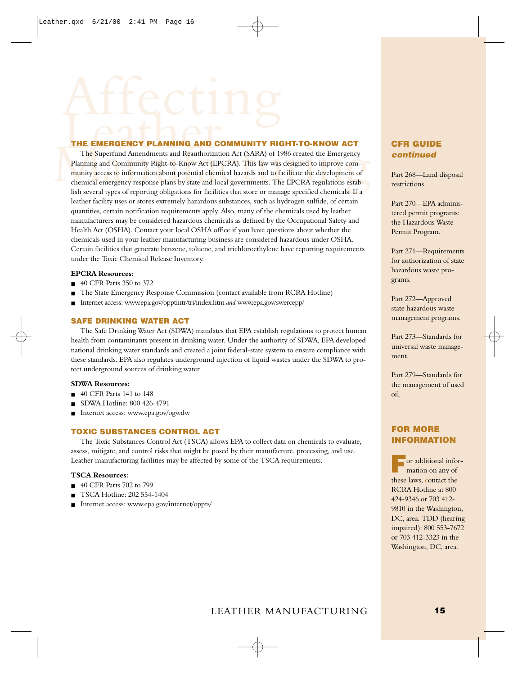THE EMERGENCY PLANNING AND COMMUNITY RIGHT-TO-KNOW ACT<br>The Superfund Amendments and Reauthorization Act (SARA) of 1986 created the Emergency<br>Planning and Community Right-to-Know Act (EPCRA). This law was designed to improv The Superfund Amendments and Reauthorization Act (SARA) of 1986 created the Emergency Planning and Community Right-to-Know Act (EPCRA). This law was designed to improve community access to information about potential chemical hazards and to facilitate the development of chemical emergency response plans by state and local governments. The EPCRA regulations establish several types of reporting obligations for facilities that store or manage specified chemicals. If a leather facility uses or stores extremely hazardous substances, such as hydrogen sulfide, of certain quantities, certain notification requirements apply. Also, many of the chemicals used by leather manufacturers may be considered hazardous chemicals as defined by the Occupational Safety and Health Act (OSHA). Contact your local OSHA office if you have questions about whether the chemicals used in your leather manufacturing business are considered hazardous under OSHA. Certain facilities that generate benzene, toluene, and trichloroethylene have reporting requirements under the Toxic Chemical Release Inventory.

### **EPCRA Resources:**

- 40 CFR Parts 350 to 372
- The State Emergency Response Commission (contact available from RCRA Hotline)
- Internet access: www.epa.gov/opptintr/tri/index.htm *and* www.epa.gov/swercepp/

### **SAFE DRINKING WATER ACT**

The Safe Drinking Water Act (SDWA) mandates that EPA establish regulations to protect human health from contaminants present in drinking water. Under the authority of SDWA, EPA developed national drinking water standards and created a joint federal-state system to ensure compliance with these standards. EPA also regulates underground injection of liquid wastes under the SDWA to protect underground sources of drinking water.

### **SDWA Resources:**

- 40 CFR Parts 141 to 148
- SDWA Hotline: 800 426-4791
- Internet access: www.epa.gov/ogwdw

### **TOXIC SUBSTANCES CONTROL ACT**

The Toxic Substances Control Act (TSCA) allows EPA to collect data on chemicals to evaluate, assess, mitigate, and control risks that might be posed by their manufacture, processing, and use. Leather manufacturing facilities may be affected by some of the TSCA requirements.

### **TSCA Resources:**

- 40 CFR Parts 702 to 799
- TSCA Hotline: 202 554-1404
- Internet access: www.epa.gov/internet/oppts/

### **CFR GUIDE continued**

Part 268—Land disposal restrictions.

Part 270—EPA administered permit programs: the Hazardous Waste Permit Program.

Part 271—Requirements for authorization of state hazardous waste programs.

Part 272—Approved state hazardous waste management programs.

Part 273—Standards for universal waste management.

Part 279—Standards for the management of used oil.

### **FOR MORE INFORMATION**

**F**or additional information on any of these laws, contact the RCRA Hotline at 800 424-9346 or 703 412- 9810 in the Washington, DC, area. TDD (hearing impaired): 800 553-7672 or 703 412-3323 in the Washington, DC, area.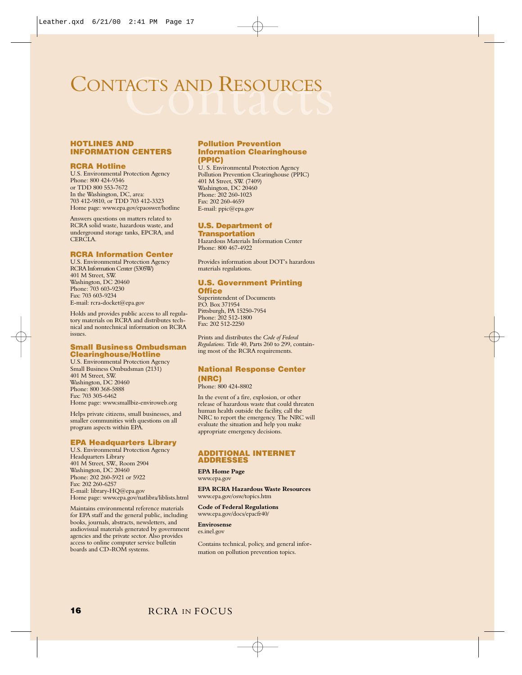### <span id="page-17-0"></span>CONTACTS AND RESOURCES

### **HOTLINES AND INFORMATION CENTERS**

### **RCRA Hotline**

U.S. Environmental Protection Agency Phone: 800 424-9346 or TDD 800 553-7672 In the Washington, DC, area: 703 412-9810, or TDD 703 412-3323 Home page: www.epa.gov/epaoswer/hotline

Answers questions on matters related to RCRA solid waste, hazardous waste, and underground storage tanks, EPCRA, and CERCLA.

### **RCRA Information Center**

U.S. Environmental Protection Agency RCRA Information Center (5305W) 401 M Street, SW. Washington, DC 20460 Phone: 703 603-9230 Fax: 703 603-9234 E-mail: rcra-docket@epa.gov

Holds and provides public access to all regula-tory materials on RCRA and distributes technical and nontechnical information on RCRA issues.

### **Small Business Ombudsman Clearinghouse/Hotline**

U.S. Environmental Protection Agency Small Business Ombudsman (2131) 401 M Street, SW. Washington, DC 20460 Phone: 800 368-5888 Fax: 703 305-6462 Home page: www.smallbiz-enviroweb.org

Helps private citizens, small businesses, and smaller communities with questions on all program aspects within EPA.

### **EPA Headquarters Library**

U.S. Environmental Protection Agency Headquarters Library 401 M Street, SW., Room 2904 Washington, DC 20460 Phone: 202 260-5921 or 5922 Fax: 202 260-6257 E-mail: library-HQ@epa.gov Home page: www.epa.gov/natlibra/liblists.html

Maintains environmental reference materials for EPA staff and the general public, including books, journals, abstracts, newsletters, and audiovisual materials generated by government agencies and the private sector. Also provides access to online computer service bulletin boards and CD-ROM systems.

### **Pollution Prevention Information Clearinghouse (PPIC)**

U. S. Environmental Protection Agency Pollution Prevention Clearinghouse (PPIC) 401 M Street, SW. (7409) Washington, DC 20460 Phone: 202 260-1023 Fax: 202 260-4659 E-mail: ppic@epa.gov

### **U.S. Department of Transportation**

Hazardous Materials Information Center Phone: 800 467-4922

Provides information about DOT's hazardous materials regulations.

### **U.S. Government Printing**

### **Office**

Superintendent of Documents P.O. Box 371954 Pittsburgh, PA 15250-7954 Phone: 202 512-1800 Fax: 202 512-2250

Prints and distributes the *Code of Federal Regulations.* Title 40, Parts 260 to 299, containing most of the RCRA requirements.

### **National Response Center (NRC)**

Phone: 800 424-8802

In the event of a fire, explosion, or other release of hazardous waste that could threaten human health outside the facility, call the NRC to report the emergency. The NRC will evaluate the situation and help you make appropriate emergency decisions.

### **ADDITIONAL INTERNET ADDRESSES**

### **EPA Home Page**

www.epa.gov

### **EPA RCRA Hazardous Waste Resources** www.epa.gov/osw/topics.htm

### **Code of Federal Regulations** www.epa.gov/docs/epacfr40/

**Envirosense** 

es.inel.gov

Contains technical, policy, and general information on pollution prevention topics.